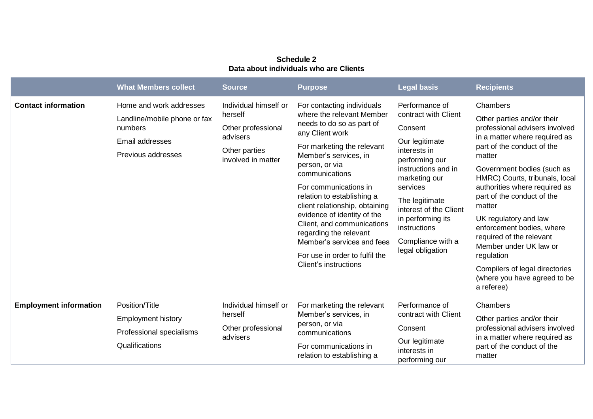## **Schedule 2 Data about individuals who are Clients**

|                               | <b>What Members collect</b>                                                                                 | <b>Source</b>                                                                                             | <b>Purpose</b>                                                                                                                                                                                                                                                                                                                                                                                                                                                              | <b>Legal basis</b>                                                                                                                                                                                                                                                                  | <b>Recipients</b>                                                                                                                                                                                                                                                                                                                                                                                                                                                                                    |
|-------------------------------|-------------------------------------------------------------------------------------------------------------|-----------------------------------------------------------------------------------------------------------|-----------------------------------------------------------------------------------------------------------------------------------------------------------------------------------------------------------------------------------------------------------------------------------------------------------------------------------------------------------------------------------------------------------------------------------------------------------------------------|-------------------------------------------------------------------------------------------------------------------------------------------------------------------------------------------------------------------------------------------------------------------------------------|------------------------------------------------------------------------------------------------------------------------------------------------------------------------------------------------------------------------------------------------------------------------------------------------------------------------------------------------------------------------------------------------------------------------------------------------------------------------------------------------------|
| <b>Contact information</b>    | Home and work addresses<br>Landline/mobile phone or fax<br>numbers<br>Email addresses<br>Previous addresses | Individual himself or<br>herself<br>Other professional<br>advisers<br>Other parties<br>involved in matter | For contacting individuals<br>where the relevant Member<br>needs to do so as part of<br>any Client work<br>For marketing the relevant<br>Member's services, in<br>person, or via<br>communications<br>For communications in<br>relation to establishing a<br>client relationship, obtaining<br>evidence of identity of the<br>Client, and communications<br>regarding the relevant<br>Member's services and fees<br>For use in order to fulfil the<br>Client's instructions | Performance of<br>contract with Client<br>Consent<br>Our legitimate<br>interests in<br>performing our<br>instructions and in<br>marketing our<br>services<br>The legitimate<br>interest of the Client<br>in performing its<br>instructions<br>Compliance with a<br>legal obligation | Chambers<br>Other parties and/or their<br>professional advisers involved<br>in a matter where required as<br>part of the conduct of the<br>matter<br>Government bodies (such as<br>HMRC) Courts, tribunals, local<br>authorities where required as<br>part of the conduct of the<br>matter<br>UK regulatory and law<br>enforcement bodies, where<br>required of the relevant<br>Member under UK law or<br>regulation<br>Compilers of legal directories<br>(where you have agreed to be<br>a referee) |
| <b>Employment information</b> | Position/Title<br><b>Employment history</b><br>Professional specialisms<br>Qualifications                   | Individual himself or<br>herself<br>Other professional<br>advisers                                        | For marketing the relevant<br>Member's services, in<br>person, or via<br>communications<br>For communications in<br>relation to establishing a                                                                                                                                                                                                                                                                                                                              | Performance of<br>contract with Client<br>Consent<br>Our legitimate<br>interests in<br>performing our                                                                                                                                                                               | Chambers<br>Other parties and/or their<br>professional advisers involved<br>in a matter where required as<br>part of the conduct of the<br>matter                                                                                                                                                                                                                                                                                                                                                    |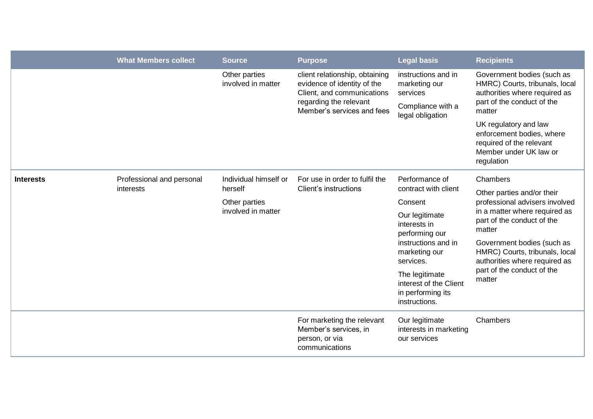|                  | <b>What Members collect</b>                                                                                       | <b>Source</b>                       | <b>Purpose</b>                                                                                                                                      | <b>Legal basis</b>                                                                                    | <b>Recipients</b>                                                                                                                     |
|------------------|-------------------------------------------------------------------------------------------------------------------|-------------------------------------|-----------------------------------------------------------------------------------------------------------------------------------------------------|-------------------------------------------------------------------------------------------------------|---------------------------------------------------------------------------------------------------------------------------------------|
|                  |                                                                                                                   | Other parties<br>involved in matter | client relationship, obtaining<br>evidence of identity of the<br>Client, and communications<br>regarding the relevant<br>Member's services and fees | instructions and in<br>marketing our<br>services<br>Compliance with a<br>legal obligation             | Government bodies (such as<br>HMRC) Courts, tribunals, local<br>authorities where required as<br>part of the conduct of the<br>matter |
|                  |                                                                                                                   |                                     |                                                                                                                                                     |                                                                                                       | UK regulatory and law<br>enforcement bodies, where<br>required of the relevant<br>Member under UK law or<br>regulation                |
| <b>Interests</b> | Professional and personal<br>Individual himself or<br>herself<br>interests<br>Other parties<br>involved in matter |                                     | For use in order to fulfil the<br>Client's instructions                                                                                             | Performance of                                                                                        | Chambers                                                                                                                              |
|                  |                                                                                                                   |                                     |                                                                                                                                                     | contract with client<br>Consent                                                                       | Other parties and/or their<br>professional advisers involved                                                                          |
|                  |                                                                                                                   |                                     |                                                                                                                                                     | Our legitimate<br>interests in<br>performing our<br>instructions and in<br>marketing our<br>services. | in a matter where required as<br>part of the conduct of the<br>matter                                                                 |
|                  |                                                                                                                   |                                     |                                                                                                                                                     |                                                                                                       | Government bodies (such as<br>HMRC) Courts, tribunals, local<br>authorities where required as                                         |
|                  |                                                                                                                   |                                     | The legitimate<br>interest of the Client<br>in performing its<br>instructions.                                                                      | part of the conduct of the<br>matter                                                                  |                                                                                                                                       |
|                  |                                                                                                                   |                                     | For marketing the relevant<br>Member's services, in<br>person, or via<br>communications                                                             | Our legitimate<br>interests in marketing<br>our services                                              | Chambers                                                                                                                              |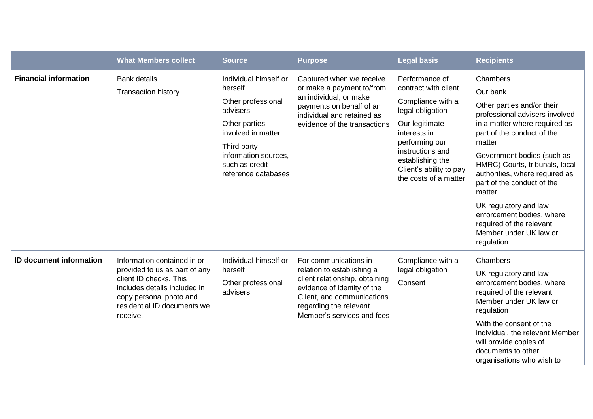|                                | <b>What Members collect</b>                                                                                                                                                                  | <b>Source</b>                                                                                                                                                                             | <b>Purpose</b>                                                                                                                                                                                             | <b>Legal basis</b>                                                                                                                                                                                                              | <b>Recipients</b>                                                                                                                                                                                                                                                                                                                                                                                                                 |
|--------------------------------|----------------------------------------------------------------------------------------------------------------------------------------------------------------------------------------------|-------------------------------------------------------------------------------------------------------------------------------------------------------------------------------------------|------------------------------------------------------------------------------------------------------------------------------------------------------------------------------------------------------------|---------------------------------------------------------------------------------------------------------------------------------------------------------------------------------------------------------------------------------|-----------------------------------------------------------------------------------------------------------------------------------------------------------------------------------------------------------------------------------------------------------------------------------------------------------------------------------------------------------------------------------------------------------------------------------|
| <b>Financial information</b>   | <b>Bank details</b><br><b>Transaction history</b>                                                                                                                                            | Individual himself or<br>herself<br>Other professional<br>advisers<br>Other parties<br>involved in matter<br>Third party<br>information sources.<br>such as credit<br>reference databases | Captured when we receive<br>or make a payment to/from<br>an individual, or make<br>payments on behalf of an<br>individual and retained as<br>evidence of the transactions                                  | Performance of<br>contract with client<br>Compliance with a<br>legal obligation<br>Our legitimate<br>interests in<br>performing our<br>instructions and<br>establishing the<br>Client's ability to pay<br>the costs of a matter | Chambers<br>Our bank<br>Other parties and/or their<br>professional advisers involved<br>in a matter where required as<br>part of the conduct of the<br>matter<br>Government bodies (such as<br>HMRC) Courts, tribunals, local<br>authorities, where required as<br>part of the conduct of the<br>matter<br>UK regulatory and law<br>enforcement bodies, where<br>required of the relevant<br>Member under UK law or<br>regulation |
| <b>ID document information</b> | Information contained in or<br>provided to us as part of any<br>client ID checks. This<br>includes details included in<br>copy personal photo and<br>residential ID documents we<br>receive. | Individual himself or<br>herself<br>Other professional<br>advisers                                                                                                                        | For communications in<br>relation to establishing a<br>client relationship, obtaining<br>evidence of identity of the<br>Client, and communications<br>regarding the relevant<br>Member's services and fees | Compliance with a<br>legal obligation<br>Consent                                                                                                                                                                                | Chambers<br>UK regulatory and law<br>enforcement bodies, where<br>required of the relevant<br>Member under UK law or<br>regulation<br>With the consent of the<br>individual, the relevant Member<br>will provide copies of<br>documents to other<br>organisations who wish to                                                                                                                                                     |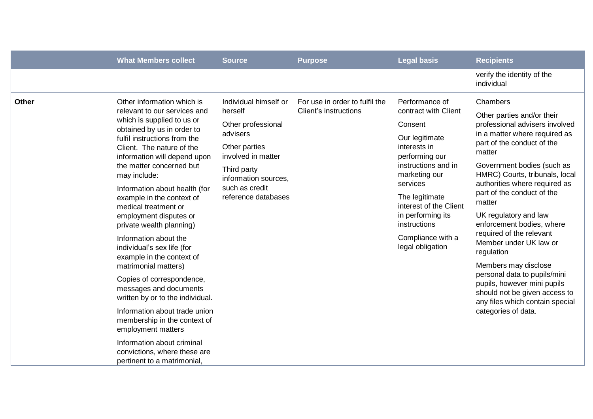|              | <b>What Members collect</b>                                                                                                                                                                                                                                                                                                                                                                                                                                                                                                                                                                                                                                                                                                                                                                            | <b>Source</b>                                                                                                                                                                             | <b>Purpose</b>                                          | <b>Legal basis</b>                                                                                                                                                                                                                                                                  | <b>Recipients</b>                                                                                                                                                                                                                                                                                                                                                                                                                                                                                                                                                                                      |
|--------------|--------------------------------------------------------------------------------------------------------------------------------------------------------------------------------------------------------------------------------------------------------------------------------------------------------------------------------------------------------------------------------------------------------------------------------------------------------------------------------------------------------------------------------------------------------------------------------------------------------------------------------------------------------------------------------------------------------------------------------------------------------------------------------------------------------|-------------------------------------------------------------------------------------------------------------------------------------------------------------------------------------------|---------------------------------------------------------|-------------------------------------------------------------------------------------------------------------------------------------------------------------------------------------------------------------------------------------------------------------------------------------|--------------------------------------------------------------------------------------------------------------------------------------------------------------------------------------------------------------------------------------------------------------------------------------------------------------------------------------------------------------------------------------------------------------------------------------------------------------------------------------------------------------------------------------------------------------------------------------------------------|
|              |                                                                                                                                                                                                                                                                                                                                                                                                                                                                                                                                                                                                                                                                                                                                                                                                        |                                                                                                                                                                                           |                                                         |                                                                                                                                                                                                                                                                                     | verify the identity of the<br>individual                                                                                                                                                                                                                                                                                                                                                                                                                                                                                                                                                               |
| <b>Other</b> | Other information which is<br>relevant to our services and<br>which is supplied to us or<br>obtained by us in order to<br>fulfil instructions from the<br>Client. The nature of the<br>information will depend upon<br>the matter concerned but<br>may include:<br>Information about health (for<br>example in the context of<br>medical treatment or<br>employment disputes or<br>private wealth planning)<br>Information about the<br>individual's sex life (for<br>example in the context of<br>matrimonial matters)<br>Copies of correspondence,<br>messages and documents<br>written by or to the individual.<br>Information about trade union<br>membership in the context of<br>employment matters<br>Information about criminal<br>convictions, where these are<br>pertinent to a matrimonial, | Individual himself or<br>herself<br>Other professional<br>advisers<br>Other parties<br>involved in matter<br>Third party<br>information sources,<br>such as credit<br>reference databases | For use in order to fulfil the<br>Client's instructions | Performance of<br>contract with Client<br>Consent<br>Our legitimate<br>interests in<br>performing our<br>instructions and in<br>marketing our<br>services<br>The legitimate<br>interest of the Client<br>in performing its<br>instructions<br>Compliance with a<br>legal obligation | Chambers<br>Other parties and/or their<br>professional advisers involved<br>in a matter where required as<br>part of the conduct of the<br>matter<br>Government bodies (such as<br>HMRC) Courts, tribunals, local<br>authorities where required as<br>part of the conduct of the<br>matter<br>UK regulatory and law<br>enforcement bodies, where<br>required of the relevant<br>Member under UK law or<br>regulation<br>Members may disclose<br>personal data to pupils/mini<br>pupils, however mini pupils<br>should not be given access to<br>any files which contain special<br>categories of data. |
|              |                                                                                                                                                                                                                                                                                                                                                                                                                                                                                                                                                                                                                                                                                                                                                                                                        |                                                                                                                                                                                           |                                                         |                                                                                                                                                                                                                                                                                     |                                                                                                                                                                                                                                                                                                                                                                                                                                                                                                                                                                                                        |